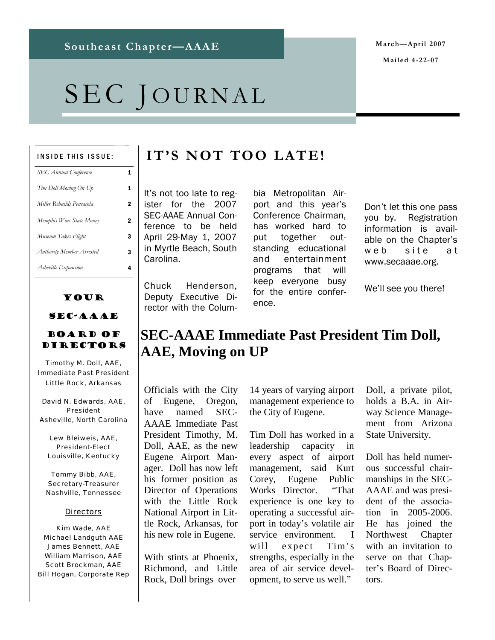# SEC JOURNAL

#### INSIDE THIS ISSUE:

| <b>SEC Annual Conference</b> |   |
|------------------------------|---|
| Tim Doll Moving On Up        | 1 |
| Miller Rebuilds Pensacola    | 2 |
| Memphis Wins State Money     | 2 |
| Museum Takes Flight          | 3 |
| Authority Member Arrested    | 3 |
| Asheville Expansion          |   |

## Your SEC-AAAE

### Board of Directors

Timothy M. Doll, AAE, Immediate Past President Little Rock, Arkansas

David N. Edwards, AAE, President Asheville, North Carolina

Lew Bleiweis, AAE, President-Elect Louisville, Kentucky

Tommy Bibb, AAE, Secretary-Treasurer Nashville, Tennessee

#### **Directors**

Kim Wade, AAE Michael Landguth AAE James Bennett, AAE William Marrison, AAE Scott Brockman, AAE Bill Hogan, Corporate Rep

# **IT'S NOT TOO LATE!**

It's not too late to register for the 2007 SEC-AAAE Annual Conference to be held April 29-May 1, 2007 in Myrtle Beach, South Carolina.

Chuck Henderson, Deputy Executive Director with the Colum-

bia Metropolitan Airport and this year's Conference Chairman, has worked hard to put together outstanding educational and entertainment programs that will keep everyone busy for the entire conference.

Don't let this one pass you by. Registration information is available on the Chapter's web site at www.secaaae.org.

We'll see you there!

# **SEC-AAAE Immediate Past President Tim Doll, AAE, Moving on UP**

Officials with the City of Eugene, Oregon, have named SEC-AAAE Immediate Past President Timothy, M. Doll, AAE, as the new Eugene Airport Manager. Doll has now left his former position as Director of Operations with the Little Rock National Airport in Little Rock, Arkansas, for his new role in Eugene.

With stints at Phoenix Richmond, and Little Rock, Doll brings over

14 years of varying airport management experience to the City of Eugene.

Tim Doll has worked in a leadership capacity in every aspect of airport management, said Kurt Corey, Eugene Public Works Director. "That experience is one key to operating a successful airport in today's volatile air service environment. I will expect Tim's strengths, especially in the area of air service development, to serve us well."

Doll, a private pilot, holds a B.A. in Airway Science Management from Arizona State University.

Doll has held numerous successful chairmanships in the SEC-AAAE and was president of the association in 2005-2006. He has joined the Northwest Chapter with an invitation to serve on that Chapter's Board of Directors.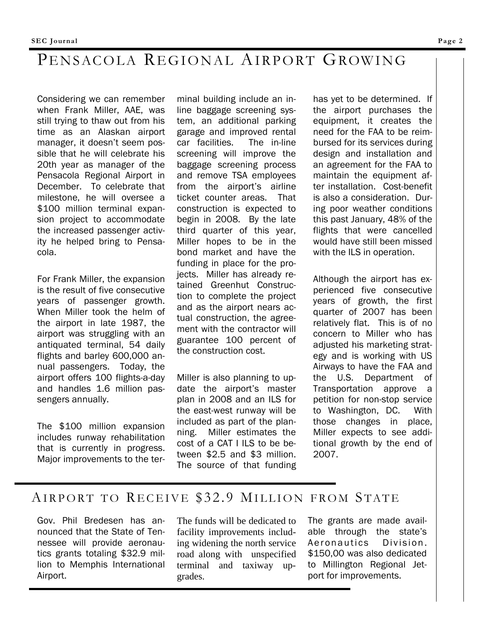# PENSACOLA REGIONAL AIRPORT GROWING

Considering we can remember when Frank Miller, AAE, was still trying to thaw out from his time as an Alaskan airport manager, it doesn't seem possible that he will celebrate his 20th year as manager of the Pensacola Regional Airport in December. To celebrate that milestone, he will oversee a \$100 million terminal expansion project to accommodate the increased passenger activity he helped bring to Pensacola.

For Frank Miller, the expansion is the result of five consecutive years of passenger growth. When Miller took the helm of the airport in late 1987, the airport was struggling with an antiquated terminal, 54 daily flights and barley 600,000 annual passengers. Today, the airport offers 100 flights-a-day and handles 1.6 million passengers annually.

The \$100 million expansion includes runway rehabilitation that is currently in progress. Major improvements to the terminal building include an inline baggage screening system, an additional parking garage and improved rental car facilities. The in-line screening will improve the baggage screening process and remove TSA employees from the airport's airline ticket counter areas. That construction is expected to begin in 2008. By the late third quarter of this year, Miller hopes to be in the bond market and have the funding in place for the projects. Miller has already retained Greenhut Construction to complete the project and as the airport nears actual construction, the agreement with the contractor will guarantee 100 percent of the construction cost.

Miller is also planning to update the airport's master plan in 2008 and an ILS for the east-west runway will be included as part of the planning. Miller estimates the cost of a CAT I ILS to be between \$2.5 and \$3 million. The source of that funding has yet to be determined. If the airport purchases the equipment, it creates the need for the FAA to be reimbursed for its services during design and installation and an agreement for the FAA to maintain the equipment after installation. Cost-benefit is also a consideration. During poor weather conditions this past January, 48% of the flights that were cancelled would have still been missed with the ILS in operation.

Although the airport has experienced five consecutive years of growth, the first quarter of 2007 has been relatively flat. This is of no concern to Miller who has adjusted his marketing strategy and is working with US Airways to have the FAA and the U.S. Department of Transportation approve a petition for non-stop service to Washington, DC. With those changes in place, Miller expects to see additional growth by the end of 2007.

## AIRPORT TO RECEIVE \$32.9 MILLION FROM STATE

Gov. Phil Bredesen has announced that the State of Tennessee will provide aeronautics grants totaling \$32.9 million to Memphis International Airport.

The funds will be dedicated to facility improvements including widening the north service road along with unspecified terminal and taxiway upgrades.

The grants are made available through the state's Aeronautics Division. \$150,00 was also dedicated to Millington Regional Jetport for improvements.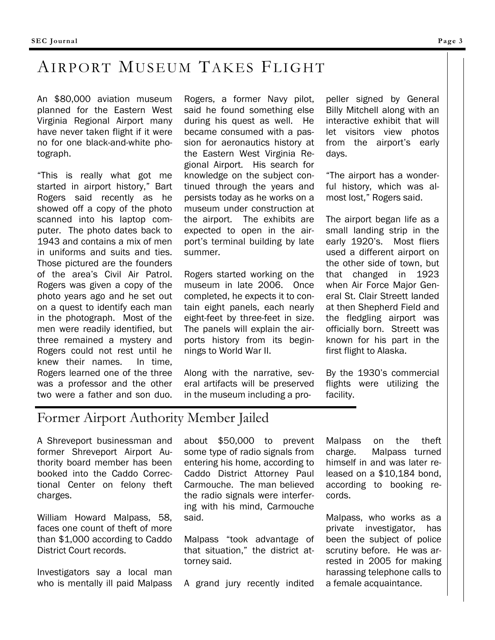# AIRPORT MUSEUM TAKES FLIGHT

An \$80,000 aviation museum planned for the Eastern West Virginia Regional Airport many have never taken flight if it were no for one black-and-white photograph.

"This is really what got me started in airport history," Bart Rogers said recently as he showed off a copy of the photo scanned into his laptop computer. The photo dates back to 1943 and contains a mix of men in uniforms and suits and ties. Those pictured are the founders of the area's Civil Air Patrol. Rogers was given a copy of the photo years ago and he set out on a quest to identify each man in the photograph. Most of the men were readily identified, but three remained a mystery and Rogers could not rest until he knew their names. In time, Rogers learned one of the three was a professor and the other two were a father and son duo.

Rogers, a former Navy pilot, said he found something else during his quest as well. He became consumed with a passion for aeronautics history at the Eastern West Virginia Regional Airport. His search for knowledge on the subject continued through the years and persists today as he works on a museum under construction at the airport. The exhibits are expected to open in the airport's terminal building by late summer.

Rogers started working on the museum in late 2006. Once completed, he expects it to contain eight panels, each nearly eight-feet by three-feet in size. The panels will explain the airports history from its beginnings to World War II.

Along with the narrative, several artifacts will be preserved in the museum including a pro-

peller signed by General Billy Mitchell along with an interactive exhibit that will let visitors view photos from the airport's early days.

"The airport has a wonderful history, which was almost lost," Rogers said.

The airport began life as a small landing strip in the early 1920's. Most fliers used a different airport on the other side of town, but that changed in 1923 when Air Force Major General St. Clair Streett landed at then Shepherd Field and the fledgling airport was officially born. Streett was known for his part in the first flight to Alaska.

By the 1930's commercial flights were utilizing the facility.

## Former Airport Authority Member Jailed

A Shreveport businessman and former Shreveport Airport Authority board member has been booked into the Caddo Correctional Center on felony theft charges.

William Howard Malpass, 58, faces one count of theft of more than \$1,000 according to Caddo District Court records.

Investigators say a local man who is mentally ill paid Malpass about \$50,000 to prevent some type of radio signals from entering his home, according to Caddo District Attorney Paul Carmouche. The man believed the radio signals were interfering with his mind, Carmouche said.

Malpass "took advantage of that situation," the district attorney said.

A grand jury recently indited

Malpass on the theft charge. Malpass turned himself in and was later released on a \$10,184 bond, according to booking records.

Malpass, who works as a private investigator, has been the subject of police scrutiny before. He was arrested in 2005 for making harassing telephone calls to a female acquaintance.